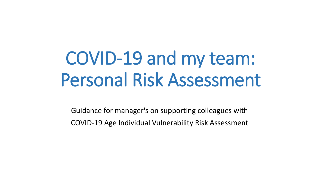# COVID-19 and my team: Personal Risk Assessment

Guidance for manager's on supporting colleagues with COVID-19 Age Individual Vulnerability Risk Assessment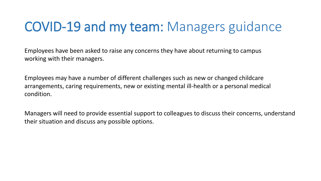### COVID-19 and my team: Managers guidance

Employees have been asked to raise any concerns they have about returning to campus working with their managers.

Employees may have a number of different challenges such as new or changed childcare arrangements, caring requirements, new or existing mental ill-health or a personal medical condition.

Managers will need to provide essential support to colleagues to discuss their concerns, understand their situation and discuss any possible options.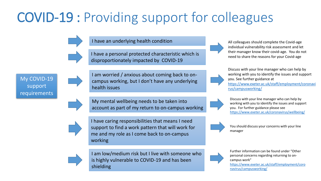# COVID-19 : Providing support for colleagues

I have an underlying health condition

I have a personal protected characteristic which is disproportionately impacted by COVID-19

My COVID-19 support **requirements** 



campus working, but I don't have any underlying health issues

I am worried / anxious about coming back to on-

My mental wellbeing needs to be taken into account as part of my return to on-campus working

I have caring responsibilities that means I need support to find a work pattern that will work for me and my role as I come back to on-campus working



I am low/medium risk but I live with someone who is highly vulnerable to COVID-19 and has been shielding

All colleagues should complete the Covid-age individual vulnerability risk assessment and let their manager know their covid-age. You do not need to share the reasons for your Covid-age

Discuss with your line manager who can help by working with you to identify the issues and support you. See further guidance at [https://www.exeter.ac.uk/staff/employment/coronavi](https://www.exeter.ac.uk/staff/employment/coronavirus/campusworking/) rus/campusworking/

Discuss with your line manager who can help by working with you to identify the issues and support you. For further guidance please see <https://www.exeter.ac.uk/coronavirus/wellbeing/>

You should discuss your concerns with your line manager

Further information can be found under "Other personal concerns regarding returning to oncampus work"

[https://www.exeter.ac.uk/staff/employment/coro](https://www.exeter.ac.uk/staff/employment/coronavirus/campusworking/) navirus/campusworking/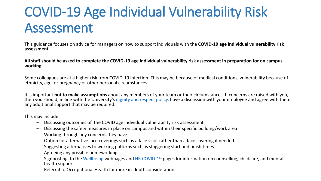# COVID-19 Age Individual Vulnerability Risk Assessment

This guidance focuses on advice for managers on how to support individuals with the **COVID-19 age individual vulnerability risk assessment.**

**All staff should be asked to complete the COVID-19 age individual vulnerability risk assessment in preparation for on campus working.** 

Some colleagues are at a higher risk from COVID-19 infection. This may be because of medical conditions, vulnerability because of ethnicity, age, or pregnancy or other personal circumstances.

It is important **not to make assumptions** about any members of your team or their circumstances. If concerns are raised with you, then you should, in line with the University's [dignity and respect policy,](https://www.exeter.ac.uk/inclusion/visionandpolicies/policies/) have a discussion with your employee and agree with them any additional support that may be required.

This may include:

- Discussing outcomes of the COVID age individual vulnerability risk assessment
- Discussing the safety measures in place on campus and within their specific building/work area
- Working through any concerns they have
- Option for alternative face coverings such as a face visor rather than a face covering if needed
- Suggesting alternatives to working patterns such as staggering start and finish times
- Agreeing any possible homeworking
- Signposting to the [Wellbeing](http://www.exeter.ac.uk/staff/wellbeing/) webpages and [HR COVID-19](http://www.exeter.ac.uk/staff/employment/coronavirus/furthersupportandguidance/) pages for information on counselling, childcare, and mental health support
- Referral to Occupational Health for more in-depth consideration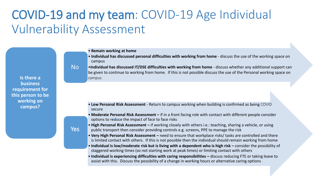### COVID-19 and my team: COVID-19 Age Individual Vulnerability Assessment

- **Remain working at home**
- **Individual has discussed personal difficulties with working from home**  discuss the use of the working space on campus

•**Individual has discussed IT/DSE difficulties with working from home** - discuss whether any additional support can be given to continue to working from home. If this is not possible discuss the use of the Personal working space on

#### No

Yes

campus

secure

**Is there a business requirement for this person to be working on campus?** 

- **Low Personal Risk Assessment**  Return to campus working when building is confirmed as being COVID
- **Moderate Personal Risk Assessment –** if in a front facing role with contact with different people consider options to reduce the impact of face to face risks
- **High Personal Risk Assessment –** if working closely with others i.e.: teaching, sharing a vehicle, or using public transport then consider providing controls e.g. screens, PPE to manage the risk
- **Very High Personal Risk Assessment –** need to ensure that workplace risks/ tasks are controlled and there is limited contact with others. If this is not possible then the individual should remain working from home
- Individual is low/moderate risk but is living with a dependent who is high risk consider the possibility of staggered working times (so not starting work at peak times) or limiting contact with others
- **Individual is experiencing difficulties with caring responsibilities –** discuss reducing FTE or taking leave to assist with this. Discuss the possibility of a change in working hours or alternative caring options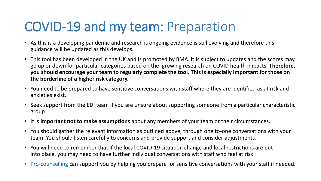### COVID-19 and my team: Preparation

- As this is a developing pandemic and research is ongoing evidence is still evolving and therefore this guidance will be updated as this develops.
- This tool has been developed in the UK and is promoted by BMA. It is subject to updates and the scores may go up or down for particular categories based on the growing research on COVID health impacts. **Therefore, you should encourage your team to regularly complete the tool. This is especially important for those on the borderline of a higher risk category.**
- You need to be prepared to have sensitive conversations with staff where they are identified as at risk and anxieties exist.
- Seek support from the EDI team if you are unsure about supporting someone from a particular characteristic group.
- It is **important not to make assumptions** about any members of your team or their circumstances.
- You should gather the relevant information as outlined above, through one to-one conversations with your team. You should listen carefully to concerns and provide support and consider adjustments.
- You will need to remember that if the local COVID-19 situation change and local restrictions are put into place, you may need to have further individual conversations with staff who feel at risk.
- [Pro-counselling](http://www.ex.ac.uk/staff/wellbeing/oh/services/staffcounsellingservice/) can support you by helping you prepare for sensitive conversations with your staff if needed.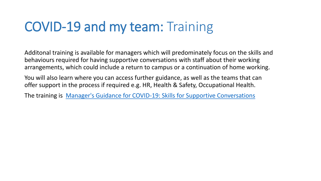### COVID-19 and my team: Training

Additonal training is available for managers which will predominately focus on the skills and behaviours required for having supportive conversations with staff about their working arrangements, which could include a return to campus or a continuation of home working.

You will also learn where you can access further guidance, as well as the teams that can offer support in the process if required e.g. HR, Health & Safety, Occupational Health.

The training is [Manager's Guidance for COVID-19: Skills for Supportive Conversations](http://www.exeter.ac.uk/staff/development/coursedetail/?code=10727)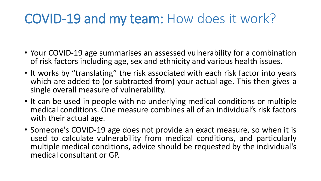### COVID-19 and my team: How does it work?

- Your COVID-19 age summarises an assessed vulnerability for a combination of risk factors including age, sex and ethnicity and various health issues.
- It works by "translating" the risk associated with each risk factor into years which are added to (or subtracted from) your actual age. This then gives a single overall measure of vulnerability.
- It can be used in people with no underlying medical conditions or multiple medical conditions. One measure combines all of an individual's risk factors with their actual age.
- Someone's COVID-19 age does not provide an exact measure, so when it is used to calculate vulnerability from medical conditions, and particularly multiple medical conditions, advice should be requested by the individual's medical consultant or GP.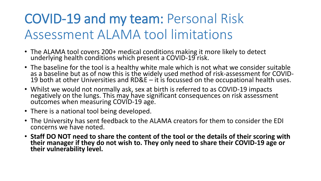# COVID-19 and my team: Personal Risk Assessment ALAMA tool limitations

- The ALAMA tool covers 200+ medical conditions making it more likely to detect underlying health conditions which present a COVID-19 risk.
- The baseline for the tool is a healthy white male which is not what we consider suitable as a baseline but as of now this is the widely used method of risk-assessment for COVID-19 both at other Universities and RD&E  $-$  it is focussed on the occupational health uses.
- Whilst we would not normally ask, sex at birth is referred to as COVID-19 impacts negatively on the lungs. This may have significant consequences on risk assessment outcomes when measuring COVID-19 age.
- There is a national tool being developed.
- The University has sent feedback to the ALAMA creators for them to consider the EDI concerns we have noted.
- **Staff DO NOT need to share the content of the tool or the details of their scoring with their manager if they do not wish to. They only need to share their COVID-19 age or their vulnerability level.**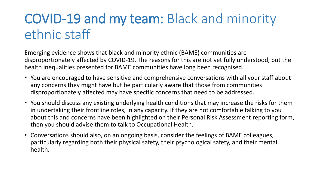# COVID-19 and my team: Black and minority ethnic staff

Emerging evidence shows that black and minority ethnic (BAME) communities are disproportionately affected by COVID-19. The reasons for this are not yet fully understood, but the health inequalities presented for BAME communities have long been recognised.

- You are encouraged to have sensitive and comprehensive conversations with all your staff about any concerns they might have but be particularly aware that those from communities disproportionately affected may have specific concerns that need to be addressed.
- You should discuss any existing underlying health conditions that may increase the risks for them in undertaking their frontline roles, in any capacity. If they are not comfortable talking to you about this and concerns have been highlighted on their Personal Risk Assessment reporting form, then you should advise them to talk to Occupational Health.
- Conversations should also, on an ongoing basis, consider the feelings of BAME colleagues, particularly regarding both their physical safety, their psychological safety, and their mental health.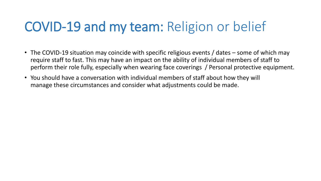### COVID-19 and my team: Religion or belief

- The COVID-19 situation may coincide with specific religious events / dates some of which may require staff to fast. This may have an impact on the ability of individual members of staff to perform their role fully, especially when wearing face coverings / Personal protective equipment.
- You should have a conversation with individual members of staff about how they will manage these circumstances and consider what adjustments could be made.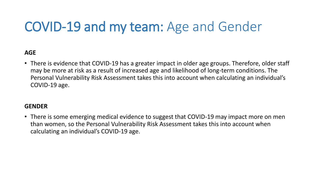### COVID-19 and my team: Age and Gender

#### **AGE**

• There is evidence that COVID-19 has a greater impact in older age groups. Therefore, older staff may be more at risk as a result of increased age and likelihood of long-term conditions. The Personal Vulnerability Risk Assessment takes this into account when calculating an individual's COVID-19 age.

#### **GENDER**

• There is some emerging medical evidence to suggest that COVID-19 may impact more on men than women, so the Personal Vulnerability Risk Assessment takes this into account when calculating an individual's COVID-19 age.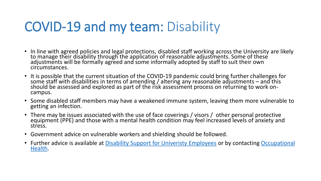### COVID-19 and my team: Disability

- In line with agreed policies and legal protections, disabled staff working across the University are likely to manage their disability through the application of reasonable adjustments. Some of these adjustments will be formally agreed and some informally adopted by staff to suit their own circumstances.
- It is possible that the current situation of the COVID-19 pandemic could bring further challenges for some staff with disabilities in terms of amending / altering any reasonable adjustments – and this should be assessed and explored as part of the risk assessment process on returning to work oncampus.
- Some disabled staff members may have a weakened immune system, leaving them more vulnerable to getting an infection.
- There may be issues associated with the use of face coverings / visors / other personal protective equipment (PPE) and those with a mental health condition may feel increased levels of anxiety and stress.
- Government advice on vulnerable workers and shielding should be followed.
- [Further advice is available at Disability Support for Univeristy Employees](mailto:occupationalhealth@ex.ac.uk) or by contacting Occupational Health.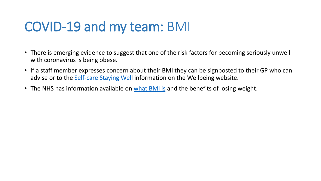### COVID-19 and my team: BMI

- There is emerging evidence to suggest that one of the risk factors for becoming seriously unwell with coronavirus is being obese.
- If a staff member expresses concern about their BMI they can be signposted to their GP who can advise or to the [Self-care Staying Well](http://www.exeter.ac.uk/coronavirus/wellbeing/) information on the Wellbeing website.
- The NHS has information available on [what BMI is](http://www.nhs.uk/common-health-questions/lifestyle/what-is-the-body-mass-index-bmi/) and the benefits of losing weight.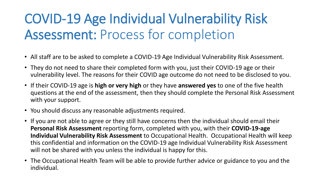# COVID-19 Age Individual Vulnerability Risk Assessment: Process for completion

- All staff are to be asked to complete a COVID-19 Age Individual Vulnerability Risk Assessment.
- They do not need to share their completed form with you, just their COVID-19 age or their vulnerability level. The reasons for their COVID age outcome do not need to be disclosed to you.
- If their COVID-19 age is **high or very high** or they have **answered yes** to one of the five health questions at the end of the assessment, then they should complete the Personal Risk Assessment with your support.
- You should discuss any reasonable adjustments required.
- If you are not able to agree or they still have concerns then the individual should email their **Personal Risk Assessment** reporting form, completed with you, with their **COVID-19-age Individual Vulnerability Risk Assessment** to Occupational Health. Occupational Health will keep this confidential and information on the COVID-19 age Individual Vulnerability Risk Assessment will not be shared with you unless the individual is happy for this.
- The Occupational Health Team will be able to provide further advice or guidance to you and the individual.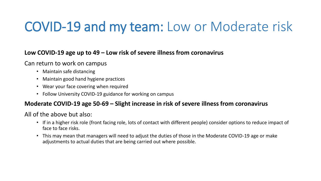### COVID-19 and my team: Low or Moderate risk

#### **Low COVID-19 age up to 49 – Low risk of severe illness from coronavirus**

#### Can return to work on campus

- Maintain safe distancing
- Maintain good hand hygiene practices
- Wear your face covering when required
- Follow University COVID-19 guidance for working on campus

#### **Moderate COVID-19 age 50-69 – Slight increase in risk of severe illness from coronavirus**

All of the above but also:

- If in a higher risk role (front facing role, lots of contact with different people) consider options to reduce impact of face to face risks.
- This may mean that managers will need to adjust the duties of those in the Moderate COVID-19 age or make adjustments to actual duties that are being carried out where possible.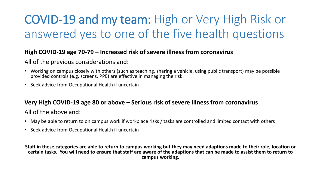### COVID-19 and my team: High or Very High Risk or answered yes to one of the five health questions

#### **High COVID-19 age 70-79 – Increased risk of severe illness from coronavirus**

All of the previous considerations and:

- Working on campus closely with others (such as teaching, sharing a vehicle, using public transport) may be possible provided controls (e.g. screens, PPE) are effective in managing the risk
- Seek advice from Occupational Health if uncertain

#### **Very High COVID-19 age 80 or above – Serious risk of severe illness from coronavirus**

All of the above and:

- May be able to return to on campus work if workplace risks / tasks are controlled and limited contact with others
- Seek advice from Occupational Health if uncertain

**Staff in these categories are able to return to campus working but they may need adaptions made to their role, location or certain tasks. You will need to ensure that staff are aware of the adaptions that can be made to assist them to return to campus working.**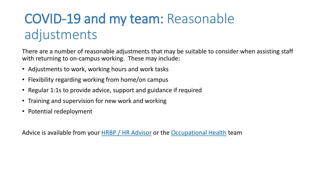# COVID-19 and my team: Reasonable adjustments

There are a number of reasonable adjustments that may be suitable to consider when assisting staff with returning to on-campus working. These may include:

- Adjustments to work, working hours and work tasks
- Flexibility regarding working from home/on campus
- Regular 1:1s to provide advice, support and guidance if required
- Training and supervision for new work and working
- Potential redeployment

Advice is available from your **HRBP** / HR Advisor or the **[Occupational Health](http://www.ex.ac.uk/staff/wellbeing/oh/)** team